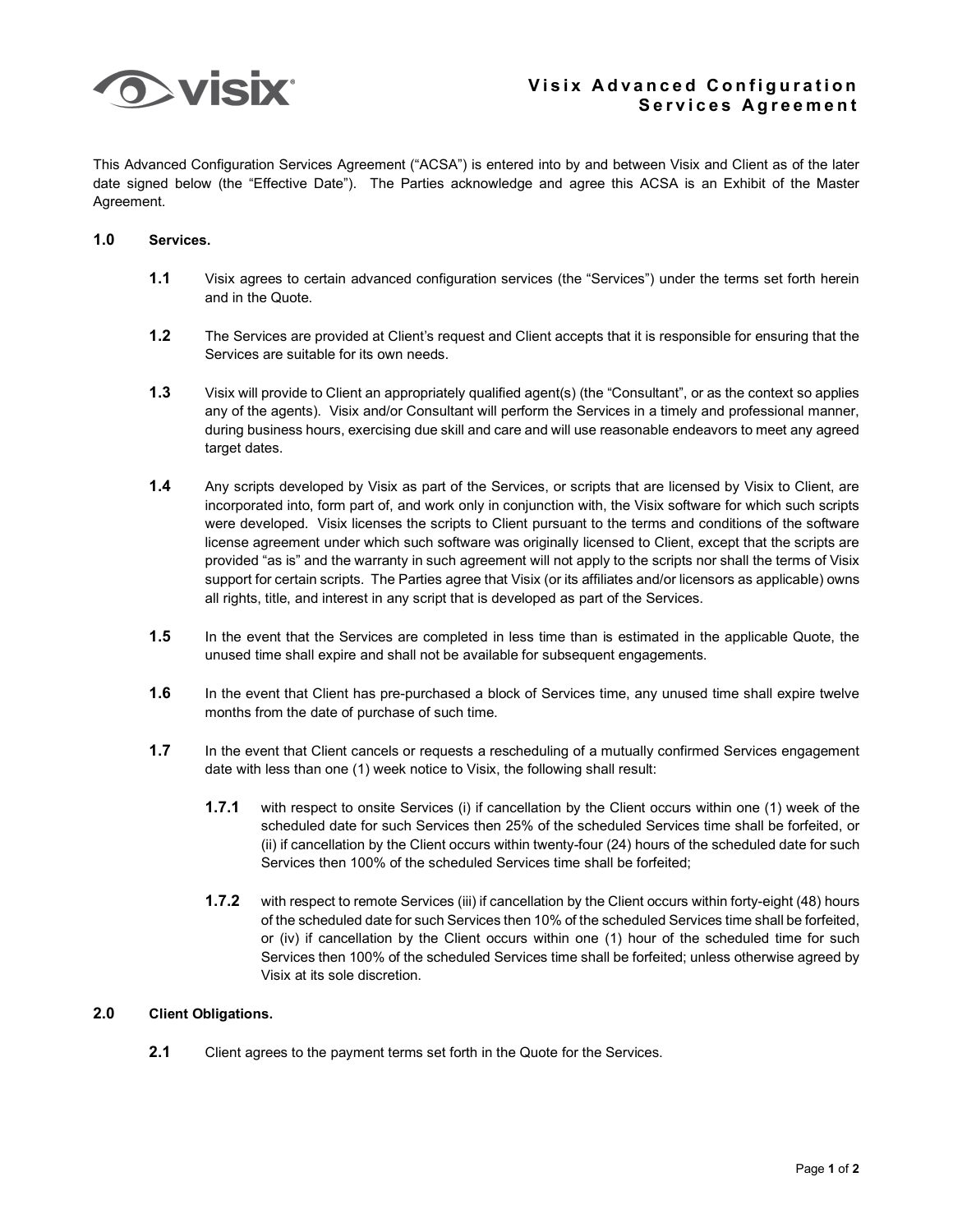

This Advanced Configuration Services Agreement ("ACSA") is entered into by and between Visix and Client as of the later date signed below (the "Effective Date"). The Parties acknowledge and agree this ACSA is an Exhibit of the Master Agreement.

## **1.0 Services.**

- **1.1** Visix agrees to certain advanced configuration services (the "Services") under the terms set forth herein and in the Quote.
- **1.2** The Services are provided at Client's request and Client accepts that it is responsible for ensuring that the Services are suitable for its own needs.
- **1.3** Visix will provide to Client an appropriately qualified agent(s) (the "Consultant", or as the context so applies any of the agents). Visix and/or Consultant will perform the Services in a timely and professional manner, during business hours, exercising due skill and care and will use reasonable endeavors to meet any agreed target dates.
- **1.4** Any scripts developed by Visix as part of the Services, or scripts that are licensed by Visix to Client, are incorporated into, form part of, and work only in conjunction with, the Visix software for which such scripts were developed. Visix licenses the scripts to Client pursuant to the terms and conditions of the software license agreement under which such software was originally licensed to Client, except that the scripts are provided "as is" and the warranty in such agreement will not apply to the scripts nor shall the terms of Visix support for certain scripts. The Parties agree that Visix (or its affiliates and/or licensors as applicable) owns all rights, title, and interest in any script that is developed as part of the Services.
- **1.5** In the event that the Services are completed in less time than is estimated in the applicable Quote, the unused time shall expire and shall not be available for subsequent engagements.
- **1.6** In the event that Client has pre-purchased a block of Services time, any unused time shall expire twelve months from the date of purchase of such time.
- **1.7** In the event that Client cancels or requests a rescheduling of a mutually confirmed Services engagement date with less than one (1) week notice to Visix, the following shall result:
	- **1.7.1** with respect to onsite Services (i) if cancellation by the Client occurs within one (1) week of the scheduled date for such Services then 25% of the scheduled Services time shall be forfeited, or (ii) if cancellation by the Client occurs within twenty-four (24) hours of the scheduled date for such Services then 100% of the scheduled Services time shall be forfeited;
	- **1.7.2** with respect to remote Services (iii) if cancellation by the Client occurs within forty-eight (48) hours of the scheduled date for such Services then 10% of the scheduled Services time shall be forfeited, or (iv) if cancellation by the Client occurs within one (1) hour of the scheduled time for such Services then 100% of the scheduled Services time shall be forfeited; unless otherwise agreed by Visix at its sole discretion.

## **2.0 Client Obligations.**

**2.1** Client agrees to the payment terms set forth in the Quote for the Services.